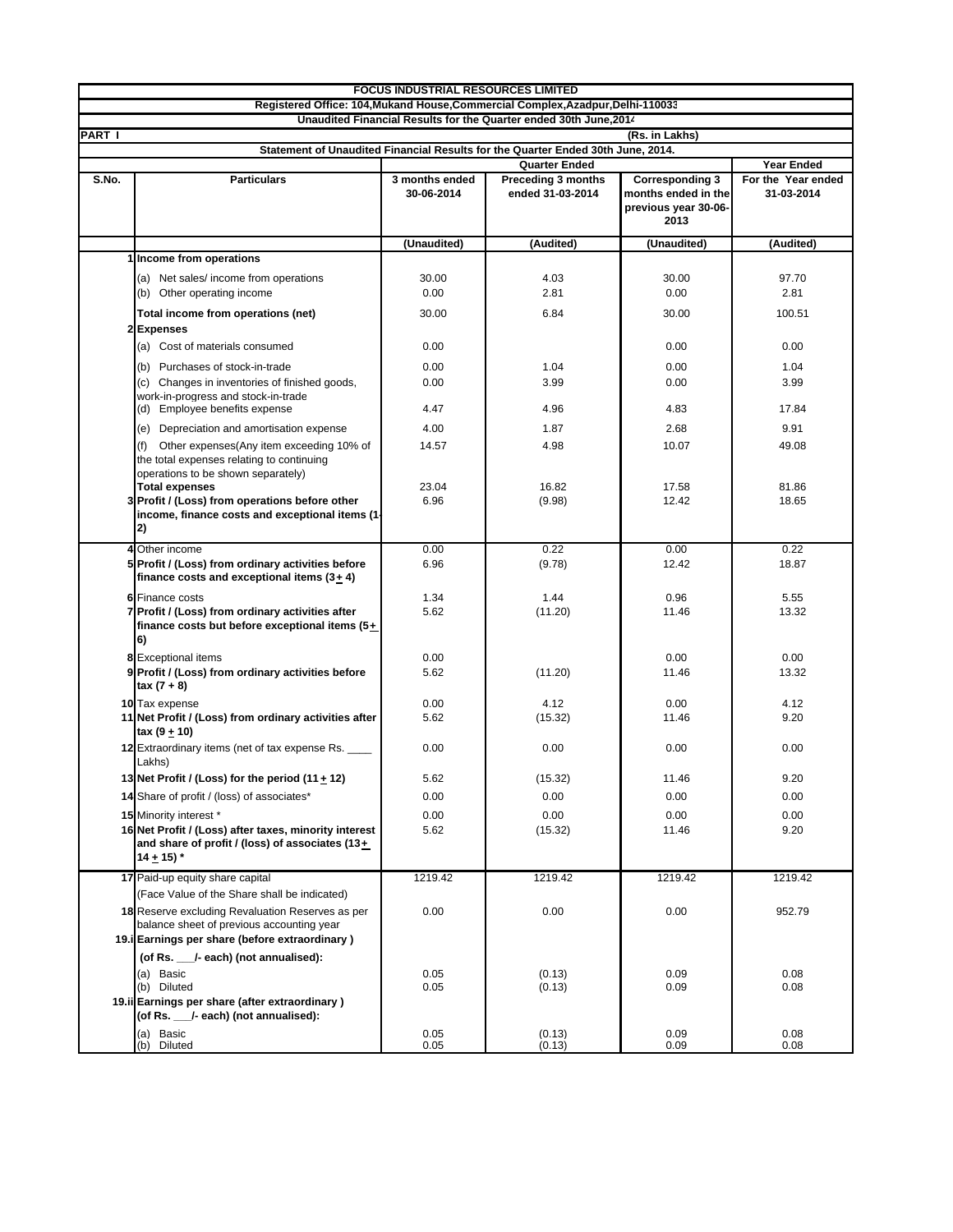|               | <b>FOCUS INDUSTRIAL RESOURCES LIMITED</b>                                                                                                            |                              |                                               |                                                                               |                                  |  |  |  |
|---------------|------------------------------------------------------------------------------------------------------------------------------------------------------|------------------------------|-----------------------------------------------|-------------------------------------------------------------------------------|----------------------------------|--|--|--|
|               | Registered Office: 104, Mukand House, Commercial Complex, Azadpur, Delhi-110033<br>Unaudited Financial Results for the Quarter ended 30th June, 2014 |                              |                                               |                                                                               |                                  |  |  |  |
| <b>PART I</b> | (Rs. in Lakhs)                                                                                                                                       |                              |                                               |                                                                               |                                  |  |  |  |
|               | Statement of Unaudited Financial Results for the Quarter Ended 30th June, 2014.                                                                      |                              |                                               |                                                                               |                                  |  |  |  |
|               |                                                                                                                                                      |                              | <b>Year Ended</b>                             |                                                                               |                                  |  |  |  |
| S.No.         | <b>Particulars</b>                                                                                                                                   | 3 months ended<br>30-06-2014 | <b>Preceding 3 months</b><br>ended 31-03-2014 | <b>Corresponding 3</b><br>months ended in the<br>previous year 30-06-<br>2013 | For the Year ended<br>31-03-2014 |  |  |  |
|               |                                                                                                                                                      | (Unaudited)                  | (Audited)                                     | (Unaudited)                                                                   | (Audited)                        |  |  |  |
|               | 1 Income from operations                                                                                                                             |                              |                                               |                                                                               |                                  |  |  |  |
|               | (a) Net sales/income from operations                                                                                                                 | 30.00                        | 4.03                                          | 30.00                                                                         | 97.70                            |  |  |  |
|               | (b) Other operating income                                                                                                                           | 0.00                         | 2.81                                          | 0.00                                                                          | 2.81                             |  |  |  |
|               | Total income from operations (net)                                                                                                                   | 30.00                        | 6.84                                          | 30.00                                                                         | 100.51                           |  |  |  |
|               | 2Expenses                                                                                                                                            |                              |                                               |                                                                               |                                  |  |  |  |
|               | (a) Cost of materials consumed                                                                                                                       | 0.00                         |                                               | 0.00                                                                          | 0.00                             |  |  |  |
|               | (b) Purchases of stock-in-trade                                                                                                                      | 0.00                         | 1.04                                          | 0.00                                                                          | 1.04                             |  |  |  |
|               | (c) Changes in inventories of finished goods,                                                                                                        | 0.00                         | 3.99                                          | 0.00                                                                          | 3.99                             |  |  |  |
|               | work-in-progress and stock-in-trade<br>(d) Employee benefits expense                                                                                 | 4.47                         | 4.96                                          | 4.83                                                                          | 17.84                            |  |  |  |
|               |                                                                                                                                                      |                              |                                               |                                                                               |                                  |  |  |  |
|               | Depreciation and amortisation expense<br>(e)                                                                                                         | 4.00                         | 1.87                                          | 2.68                                                                          | 9.91                             |  |  |  |
|               | Other expenses (Any item exceeding 10% of<br>the total expenses relating to continuing<br>operations to be shown separately)                         | 14.57                        | 4.98                                          | 10.07                                                                         | 49.08                            |  |  |  |
|               | <b>Total expenses</b><br>3 Profit / (Loss) from operations before other                                                                              | 23.04                        | 16.82                                         | 17.58                                                                         | 81.86                            |  |  |  |
|               | income, finance costs and exceptional items (1-<br>2)                                                                                                | 6.96                         | (9.98)                                        | 12.42                                                                         | 18.65                            |  |  |  |
| 4             | Other income                                                                                                                                         | 0.00                         | 0.22                                          | 0.00                                                                          | 0.22                             |  |  |  |
|               | 5 Profit / (Loss) from ordinary activities before<br>finance costs and exceptional items $(3 + 4)$                                                   | 6.96                         | (9.78)                                        | 12.42                                                                         | 18.87                            |  |  |  |
|               | <b>6</b> Finance costs                                                                                                                               | 1.34                         | 1.44                                          | 0.96                                                                          | 5.55                             |  |  |  |
|               | 7 Profit / (Loss) from ordinary activities after<br>finance costs but before exceptional items (5+<br>6)                                             | 5.62                         | (11.20)                                       | 11.46                                                                         | 13.32                            |  |  |  |
|               | <b>8</b> Exceptional items                                                                                                                           | 0.00                         |                                               | 0.00                                                                          | 0.00                             |  |  |  |
|               | 9 Profit / (Loss) from ordinary activities before<br>tax (7 + 8)                                                                                     | 5.62                         | (11.20)                                       | 11.46                                                                         | 13.32                            |  |  |  |
|               | 10 Tax expense<br>11 Net Profit / (Loss) from ordinary activities after                                                                              | 0.00<br>5.62                 | 4.12<br>(15.32)                               | 0.00<br>11.46                                                                 | 4.12<br>9.20                     |  |  |  |
|               | tax (9 + 10)                                                                                                                                         |                              |                                               |                                                                               |                                  |  |  |  |
|               | 12 Extraordinary items (net of tax expense Rs.<br>Lakhs)                                                                                             | 0.00                         | 0.00                                          | 0.00                                                                          | 0.00                             |  |  |  |
|               | 13 Net Profit / (Loss) for the period (11 + 12)                                                                                                      | 5.62                         | (15.32)                                       | 11.46                                                                         | 9.20                             |  |  |  |
|               | 14 Share of profit / (loss) of associates*                                                                                                           | 0.00                         | 0.00                                          | 0.00                                                                          | 0.00                             |  |  |  |
|               | 15 Minority interest *                                                                                                                               | 0.00                         | 0.00                                          | 0.00                                                                          | 0.00                             |  |  |  |
|               | 16 Net Profit / (Loss) after taxes, minority interest<br>and share of profit / (loss) of associates (13+<br>14 $\pm$ 15) $*$                         | 5.62                         | (15.32)                                       | 11.46                                                                         | 9.20                             |  |  |  |
|               | 17 Paid-up equity share capital                                                                                                                      | 1219.42                      | 1219.42                                       | 1219.42                                                                       | 1219.42                          |  |  |  |
|               | (Face Value of the Share shall be indicated)                                                                                                         |                              |                                               |                                                                               |                                  |  |  |  |
|               | 18 Reserve excluding Revaluation Reserves as per<br>balance sheet of previous accounting year<br>19. Earnings per share (before extraordinary)       | 0.00                         | 0.00                                          | 0.00                                                                          | 952.79                           |  |  |  |
|               | (of Rs. __/- each) (not annualised):                                                                                                                 |                              |                                               |                                                                               |                                  |  |  |  |
|               | (a) Basic                                                                                                                                            | 0.05                         | (0.13)                                        | 0.09                                                                          | 0.08                             |  |  |  |
|               | (b) Diluted                                                                                                                                          | 0.05                         | (0.13)                                        | 0.09                                                                          | 0.08                             |  |  |  |
|               | 19.ii Earnings per share (after extraordinary)<br>(of Rs. __/- each) (not annualised):                                                               |                              |                                               |                                                                               |                                  |  |  |  |
|               | (a) Basic<br>Diluted<br>(b)                                                                                                                          | 0.05<br>0.05                 | (0.13)<br>(0.13)                              | 0.09<br>0.09                                                                  | 0.08<br>0.08                     |  |  |  |